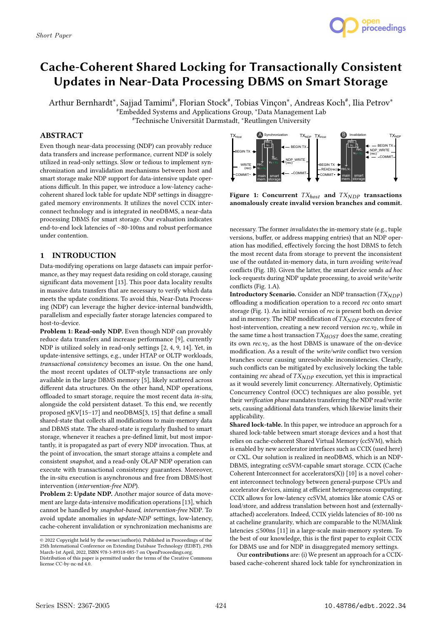

# Cache-Coherent Shared Locking for Transactionally Consistent Updates in Near-Data Processing DBMS on Smart Storage

Arthur Bernhardt\*, Sajjad Tamimi<sup>#</sup>, Florian Stock<sup>#</sup>, Tobias Vinçon\*, Andreas Koch<sup>#</sup>, Ilia Petrov\* #Embedded Systems and Applications Group, <sup>∗</sup>Data Management Lab #Technische Universität Darmstadt, <sup>∗</sup>Reutlingen University

## ABSTRACT

Even though near-data processing (NDP) can provably reduce data transfers and increase performance, current NDP is solely utilized in read-only settings. Slow or tedious to implement synchronization and invalidation mechanisms between host and smart storage make NDP support for data-intensive update operations difficult. In this paper, we introduce a low-latency cachecoherent shared lock table for update NDP settings in disaggregated memory environments. It utilizes the novel CCIX interconnect technology and is integrated in neoDBMS, a near-data processing DBMS for smart storage. Our evaluation indicates end-to-end lock latencies of ∼80-100ns and robust performance under contention.

## 1 INTRODUCTION

Data-modifying operations on large datasets can impair performance, as they may request data residing on cold storage, causing significant data movement [13]. This poor data locality results in massive data transfers that are necessary to verify which data meets the update conditions. To avoid this, Near-Data Processing (NDP) can leverage the higher device-internal bandwidth, parallelism and especially faster storage latencies compared to host-to-device.

Problem 1: Read-only NDP. Even though NDP can provably reduce data transfers and increase performance [9], currently NDP is utilized solely in read-only settings [2, 4, 9, 14]. Yet, in update-intensive settings, e.g., under HTAP or OLTP workloads, transactional consistency becomes an issue. On the one hand, the most recent updates of OLTP-style transactions are only available in the large DBMS memory [5], likely scattered across different data structures. On the other hand, NDP operations, offloaded to smart storage, require the most recent data in-situ, alongside the cold persistent dataset. To this end, we recently proposed nKV[15–17] and neoDBMS[3, 15] that define a small shared-state that collects all modifications to main-memory data and DBMS state. The shared-state is regularly flushed to smart storage, whenever it reaches a pre-defined limit, but most importantly, it is propagated as part of every NDP invocation. Thus, at the point of invocation, the smart storage attains a complete and consistent snapshot, and a read-only OLAP NDP operation can execute with transactional consistency guarantees. Moreover, the in-situ execution is asynchronous and free from DBMS/host intervention (intervention-free NDP).

Problem 2: Update NDP. Another major source of data movement are large data-intensive modification operations [13], which cannot be handled by snapshot-based, intervention-free NDP. To avoid update anomalies in update-NDP settings, low-latency, cache-coherent invalidation or synchronization mechanisms are



Figure 1: Concurrent  $TX_{host}$  and  $TX_{NDP}$  transactions anomalously create invalid version branches and commit.

necessary. The former invalidates the in-memory state (e.g., tuple versions, buffer, or address mapping entries) that an NDP operation has modified, effectively forcing the host DBMS to fetch the most recent data from storage to prevent the inconsistent use of the outdated in-memory data, in turn avoiding write/read conflicts (Fig. 1B). Given the latter, the smart device sends ad hoc lock-requests during NDP update processing, to avoid write/write conflicts (Fig. 1.A).

Introductory Scenario. Consider an NDP transaction  $(TX_{NDP})$ offloading a modification operation to a record rec onto smart storage (Fig. 1). An initial version of rec is present both on device and in memory. The NDP modification of  $TX_{NDP}$  executes free of host-intervention, creating a new record version  $rec.v_2$ , while in the same time a host transaction  $TX_{HOST}$  does the same, creating its own  $rec.v_2$ , as the host DBMS is unaware of the on-device modification. As a result of the write/write conflict two version branches occur causing unresolvable inconsistencies. Clearly, such conflicts can be mitigated by exclusively locking the table containing rec ahead of  $TX_{NDP}$  execution, yet this is impractical as it would severely limit concurrency. Alternatively, Optimistic Concurrency Control (OCC) techniques are also possible, yet their verification phase mandates transferring the NDP read/write sets, causing additional data transfers, which likewise limits their applicability.

Shared lock-table. In this paper, we introduce an approach for a shared lock-table between smart storage devices and a host that relies on cache-coherent Shared Virtual Memory (ccSVM), which is enabled by new accelerator interfaces such as CCIX (used here) or CXL. Our solution is realized in neoDBMS, which is an NDP-DBMS, integrating ccSVM-capable smart storage. CCIX (Cache Coherent Interconnect for accelerators(X)) [10] is a novel coherent interconnect technology between general-purpose CPUs and accelerator devices, aiming at efficient heterogeneous computing. CCIX allows for low-latency ccSVM, atomics like atomic CAS or load/store, and address translation between host and (externallyattached) accelerators. Indeed, CCIX yields latencies of 80-100 ns at cacheline granularity, which are comparable to the NUMAlink latencies ≤500ns [11] in a large-scale main-memory system. To the best of our knowledge, this is the first paper to exploit CCIX for DBMS use and for NDP in disaggregated memory settings.

Our contributions are: (i) We present an approach for a CCIXbased cache-coherent shared lock table for synchronization in

<sup>©</sup> 2022 Copyright held by the owner/author(s). Published in Proceedings of the 25th International Conference on Extending Database Technology (EDBT), 29th March-1st April, 2022, ISBN 978-3-89318-085-7 on OpenProceedings.org.

Distribution of this paper is permitted under the terms of the Creative Commons license CC-by-nc-nd 4.0.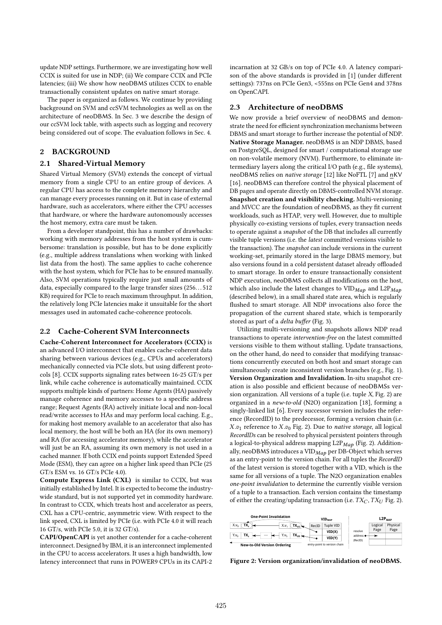update NDP settings. Furthermore, we are investigating how well CCIX is suited for use in NDP; (ii) We compare CCIX and PCIe latencies; (iii) We show how neoDBMS utilizes CCIX to enable transactionally consistent updates on native smart storage.

The paper is organized as follows. We continue by providing background on SVM and ccSVM technologies as well as on the architecture of neoDBMS. In Sec. 3 we describe the design of our ccSVM lock table, with aspects such as logging and recovery being considered out of scope. The evaluation follows in Sec. 4.

## 2 BACKGROUND

#### 2.1 Shared-Virtual Memory

Shared Virtual Memory (SVM) extends the concept of virtual memory from a single CPU to an entire group of devices. A regular CPU has access to the complete memory hierarchy and can manage every processes running on it. But in case of external hardware, such as accelerators, where either the CPU accesses that hardware, or where the hardware autonomously accesses the host memory, extra care must be taken.

From a developer standpoint, this has a number of drawbacks: working with memory addresses from the host system is cumbersome: translation is possible, but has to be done explicitly (e.g., multiple address translations when working with linked list data from the host). The same applies to cache coherence with the host system, which for PCIe has to be ensured manually. Also, SVM operations typically require just small amounts of data, especially compared to the large transfer sizes (256. . . 512 KB) required for PCIe to reach maximum throughput. In addition, the relatively long PCIe latencies make it unsuitable for the short messages used in automated cache-coherence protocols.

## 2.2 Cache-Coherent SVM Interconnects

Cache-Coherent Interconnect for Accelerators (CCIX) is an advanced I/O interconnect that enables cache-coherent data sharing between various devices (e.g., CPUs and accelerators) mechanically connected via PCIe slots, but using different protocols [8]. CCIX supports signaling rates between 16-25 GT/s per link, while cache coherence is automatically maintained. CCIX supports multiple kinds of partners: Home Agents (HA) passively manage coherence and memory accesses to a specific address range; Request Agents (RA) actively initiate local and non-local read/write accesses to HAs and may perform local caching. E.g., for making host memory available to an accelerator that also has local memory, the host will be both an HA (for its own memory) and RA (for accessing accelerator memory), while the accelerator will just be an RA, assuming its own memory is not used in a cached manner. If both CCIX end points support Extended Speed Mode (ESM), they can agree on a higher link speed than PCIe (25 GT/s ESM vs. 16 GT/s PCIe 4.0).

Compute Express Link (CXL) is similar to CCIX, but was initially established by Intel. It is expected to become the industrywide standard, but is not supported yet in commodity hardware. In contrast to CCIX, which treats host and accelerator as peers, CXL has a CPU-centric, asymmetric view. With respect to the link speed, CXL is limited by PCIe (i.e. with PCIe 4.0 it will reach 16 GT/s, with PCIe 5.0, it is 32 GT/s).

CAPI/OpenCAPI is yet another contender for a cache-coherent interconnect. Designed by IBM, it is an interconnect implemented in the CPU to access accelerators. It uses a high bandwidth, low latency interconnect that runs in POWER9 CPUs in its CAPI-2

incarnation at 32 GB/s on top of PCIe 4.0. A latency comparison of the above standards is provided in [1] (under different settings): 737ns on PCIe Gen3, <555ns on PCIe Gen4 and 378ns on OpenCAPI.

#### 2.3 Architecture of neoDBMS

We now provide a brief overview of neoDBMS and demonstrate the need for efficient synchronization mechanisms between DBMS and smart storage to further increase the potential of NDP. Native Storage Manager. neoDBMS is an NDP DBMS, based on PostgreSQL, designed for smart / computational storage use on non-volatile memory (NVM). Furthermore, to eliminate intermediary layers along the critical I/O path (e.g., file systems), neoDBMS relies on native storage [12] like NoFTL [7] and nKV [16]. neoDBMS can therefore control the physical placement of DB pages and operate directly on DBMS-controlled NVM storage. Snapshot creation and visibility checking. Multi-versioning and MVCC are the foundation of neoDBMS, as they fit current workloads, such as HTAP, very well. However, due to multiple physically co-existing versions of tuples, every transaction needs to operate against a snapshot of the DB that includes all currently visible tuple versions (i.e. the latest committed versions visible to the transaction). The snapshot can include versions in the current working-set, primarily stored in the large DBMS memory, but also versions found in a cold persistent dataset already offloaded to smart storage. In order to ensure transactionally consistent NDP execution, neoDBMS collects all modifications on the host, which also include the latest changes to  $VID_{Map}$  and  $L2P_{Map}$ (described below), in a small shared state area, which is regularly flushed to smart storage. All NDP invocations also force the propagation of the current shared state, which is temporarily stored as part of a delta buffer (Fig. 3).

Utilizing multi-versioning and snapshots allows NDP read transactions to operate intervention-free on the latest committed versions visible to them without stalling. Update transactions, on the other hand, do need to consider that modifying transactions concurrently executed on both host and smart storage can simultaneously create inconsistent version branches (e.g., Fig. 1). Version Organization and Invalidation. In-situ snapshot creation is also possible and efficient because of neoDBMSs version organization. All versions of a tuple (i.e. tuple  $X$ , Fig. 2) are organized in a new-to-old (N2O) organization [18], forming a singly-linked list [6]. Every successor version includes the reference (RecordID) to the predecessor, forming a version chain (i.e.  $X.\mathfrak{v}_1$  reference to  $X.\mathfrak{v}_0$  Fig. 2). Due to native storage, all logical RecordIDs can be resolved to physical persistent pointers through a logical-to-physical address mapping  $L2P_{Map}$  (Fig. 2). Additionally, neoDBMS introduces a  $VID_{Map}$  per DB-Object which serves as an entry-point to the version chain. For all tuples the RecordID of the latest version is stored together with a VID, which is the same for all versions of a tuple. The N2O organization enables one-point invalidation to determine the currently visible version of a tuple to a transaction. Each version contains the timestamp of either the creating/updating transaction (i.e.  $TX_C$ ,  $TX_U$  Fig. 2).



Figure 2: Version organization/invalidation of neoDBMS.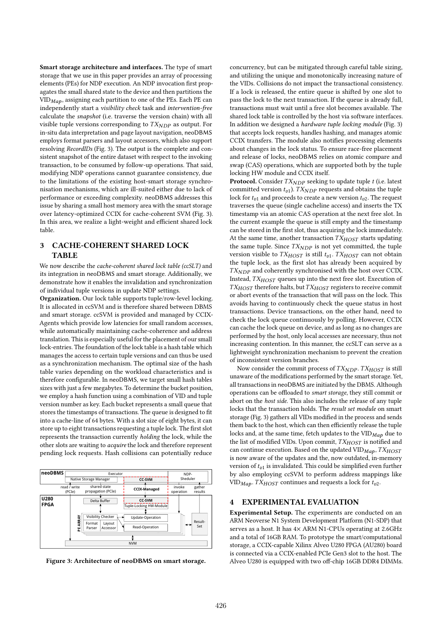Smart storage architecture and interfaces. The type of smart storage that we use in this paper provides an array of processing elements (PEs) for NDP execution. An NDP invocation first propagates the small shared state to the device and then partitions the  $VID_{Map}$ , assigning each partition to one of the PEs. Each PE can independently start a visibility check task and intervention-free calculate the snapshot (i.e. traverse the version chain) with all visible tuple versions corresponding to  $TX_{NDP}$  as output. For in-situ data interpretation and page layout navigation, neoDBMS employs format parsers and layout accessors, which also support resolving RecordIDs (Fig. 3). The output is the complete and consistent snapshot of the entire dataset with respect to the invoking transaction, to be consumed by follow-up operations. That said, modifying NDP operations cannot guarantee consistency, due to the limitations of the existing host-smart storage synchronisation mechanisms, which are ill-suited either due to lack of performance or exceeding complexity. neoDBMS addresses this issue by sharing a small host memory area with the smart storage over latency-optimized CCIX for cache-coherent SVM (Fig. 3). In this area, we realize a light-weight and efficient shared lock table.

## 3 CACHE-COHERENT SHARED LOCK TABLE

We now describe the cache-coherent shared lock table (ccSLT) and its integration in neoDBMS and smart storage. Additionally, we demonstrate how it enables the invalidation and synchronization of individual tuple versions in update NDP settings.

Organization. Our lock table supports tuple/row-level locking. It is allocated in ccSVM and is therefore shared between DBMS and smart storage. ccSVM is provided and managed by CCIX-Agents which provide low latencies for small random accesses, while automatically maintaining cache-coherence and address translation. This is especially useful for the placement of our small lock-entries. The foundation of the lock table is a hash table which manages the access to certain tuple versions and can thus be used as a synchronization mechanism. The optimal size of the hash table varies depending on the workload characteristics and is therefore configurable. In neoDBMS, we target small hash tables sizes with just a few megabytes. To determine the bucket position, we employ a hash function using a combination of VID and tuple version number as key. Each bucket represents a small queue that stores the timestamps of transactions. The queue is designed to fit into a cache-line of 64 bytes. With a slot size of eight bytes, it can store up to eight transactions requesting a tuple lock. The first slot represents the transaction currently holding the lock, while the other slots are waiting to acquire the lock and therefore represent pending lock requests. Hash collisions can potentially reduce



Figure 3: Architecture of neoDBMS on smart storage.

concurrency, but can be mitigated through careful table sizing, and utilizing the unique and monotonically increasing nature of the VIDs. Collisions do not impact the transactional consistency. If a lock is released, the entire queue is shifted by one slot to pass the lock to the next transaction. If the queue is already full, transactions must wait until a free slot becomes available. The shared lock table is controlled by the host via software interfaces. In addition we designed a hardware tuple locking module (Fig. 3) that accepts lock requests, handles hashing, and manages atomic CCIX transfers. The module also notifies processing elements about changes in the lock status. To ensure race-free placement and release of locks, neoDBMS relies on atomic compare and swap (CAS) operations, which are supported both by the tuple locking HW module and CCIX itself.

**Protocol.** Consider  $TX_{NDP}$  seeking to update tuple  $t$  (i.e. latest committed version  $t_{v1}$ ).  $TX_{NDP}$  requests and obtains the tuple lock for  $t_{v1}$  and proceeds to create a new version  $t_{v2}$ . The request traverses the queue (single cacheline access) and inserts the TX timestamp via an atomic CAS operation at the next free slot. In the current example the queue is still empty and the timestamp can be stored in the first slot, thus acquiring the lock immediately. At the same time, another transaction  $TX_{HOST}$  starts updating the same tuple. Since  $TX_{NDP}$  is not yet committed, the tuple version visible to  $TX_{HOST}$  is still  $t_{v1}$ .  $TX_{HOST}$  can not obtain the tuple lock, as the first slot has already been acquired by  $TX_{NDP}$  and coherently synchronised with the host over CCIX. Instead,  $TX_{HOST}$  queues up into the next free slot. Execution of  $TX_{HOST}$  therefore halts, but  $TX_{HOST}$  registers to receive commit or abort events of the transaction that will pass on the lock. This avoids having to continuously check the queue status in host transactions. Device transactions, on the other hand, need to check the lock queue continuously by polling. However, CCIX can cache the lock queue on device, and as long as no changes are performed by the host, only local accesses are necessary, thus not increasing contention. In this manner, the ccSLT can serve as a lightweight synchronization mechanism to prevent the creation of inconsistent version branches.

Now consider the commit process of  $TX_{NDP}$ .  $TX_{HOST}$  is still unaware of the modifications performed by the smart storage. Yet, all transactions in neoDBMS are initiated by the DBMS. Although operations can be offloaded to smart storage, they still commit or abort on the host side. This also includes the release of any tuple locks that the transaction holds. The result set module on smart storage (Fig. 3) gathers all VIDs modified in the process and sends them back to the host, which can then efficiently release the tuple locks and, at the same time, fetch updates to the  $\text{VID}_{Map}$  due to the list of modified VIDs. Upon commit,  $TX_{HOST}$  is notified and can continue execution. Based on the updated VID $_{Map}$ , TX $_{HOST}$ is now aware of the updates and the, now outdated, in-memory version of  $t_{v1}$  is invalidated. This could be simplified even further by also employing ccSVM to perform address mappings like VID<sub>Map</sub>. TX<sub>HOST</sub> continues and requests a lock for  $t_{v2}$ .

#### 4 EXPERIMENTAL EVALUATION

Experimental Setup. The experiments are conducted on an ARM Neoverse N1 System Development Platform (N1-SDP) that serves as a host. It has  $4 \times$  ARM N1-CPUs operating at 2.6GHz and a total of 16GB RAM. To prototype the smart/computational storage, a CCIX-capable Xilinx Alveo U280 FPGA (AU280) board is connected via a CCIX-enabled PCIe Gen3 slot to the host. The Alveo U280 is equipped with two off-chip 16GB DDR4 DIMMs.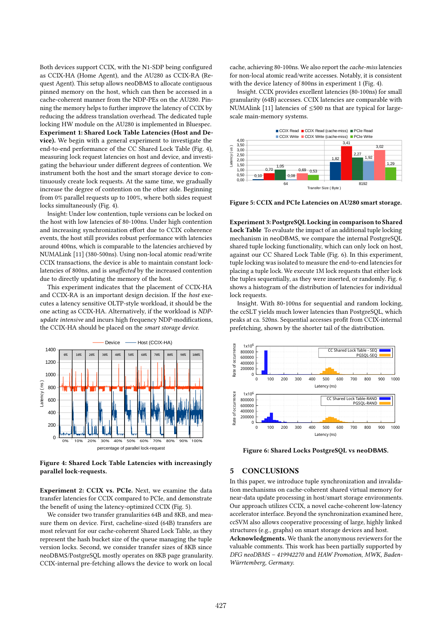Both devices support CCIX, with the N1-SDP being configured as CCIX-HA (Home Agent), and the AU280 as CCIX-RA (Request Agent). This setup allows neoDBMS to allocate contiguous pinned memory on the host, which can then be accessed in a cache-coherent manner from the NDP-PEs on the AU280. Pinning the memory helps to further improve the latency of CCIX by reducing the address translation overhead. The dedicated tuple locking HW module on the AU280 is implemented in Bluespec. Experiment 1: Shared Lock Table Latencies (Host and Device). We begin with a general experiment to investigate the end-to-end performance of the CC Shared Lock Table (Fig. 4), measuring lock request latencies on host and device, and investigating the behaviour under different degrees of contention. We instrument both the host and the smart storage device to continuously create lock requests. At the same time, we gradually increase the degree of contention on the other side. Beginning from 0% parallel requests up to 100%, where both sides request locks simultaneously (Fig. 4).

Insight: Under low contention, tuple versions can be locked on the host with low latencies of 80-100ns. Under high contention and increasing synchronization effort due to CCIX coherence events, the host still provides robust performance with latencies around 400ns, which is comparable to the latencies archieved by NUMALink [11] (380-500ns). Using non-local atomic read/write CCIX transactions, the device is able to maintain constant locklatencies of 800ns, and is unaffected by the increased contention due to directly updating the memory of the host.

This experiment indicates that the placement of CCIX-HA and CCIX-RA is an important design decision. If the host executes a latency sensitive OLTP-style workload, it should be the one acting as CCIX-HA. Alternatively, if the workload is NDPupdate intensive and incurs high frequency NDP-modifications, the CCIX-HA should be placed on the smart storage device.



Figure 4: Shared Lock Table Latencies with increasingly parallel lock-requests.

Experiment 2: CCIX vs. PCIe. Next, we examine the data transfer latencies for CCIX compared to PCIe, and demonstrate the benefit of using the latency-optimized CCIX (Fig. 5).

We consider two transfer granularities 64B and 8KB, and measure them on device. First, cacheline-sized (64B) transfers are most relevant for our cache-coherent Shared Lock Table, as they represent the hash bucket size of the queue managing the tuple version locks. Second, we consider transfer sizes of 8KB since neoDBMS/PostgreSQL mostly operates on 8KB page granularity. CCIX-internal pre-fetching allows the device to work on local

cache, achieving 80-100ns. We also report the cache-miss latencies for non-local atomic read/write accesses. Notably, it is consistent with the device latency of 800ns in experiment 1 (Fig. 4).

Insight. CCIX provides excellent latencies (80-100ns) for small granularity (64B) accesses. CCIX latencies are comparable with NUMAlink [11] latencies of ≤500 ns that are typical for largescale main-memory systems.



Figure 5: CCIX and PCIe Latencies on AU280 smart storage.

Experiment 3: PostgreSQL Locking in comparison to Shared Lock Table To evaluate the impact of an additional tuple locking mechanism in neoDBMS, we compare the internal PostgreSQL shared tuple locking functionality, which can only lock on host, against our CC Shared Lock Table (Fig. 6). In this experiment, tuple locking was isolated to measure the end-to-end latencies for placing a tuple lock. We execute 1M lock requests that either lock the tuples sequentially, as they were inserted, or randomly. Fig. 6 shows a histogram of the distribution of latencies for individual lock requests.

Insight. With 80-100ns for sequential and random locking, the ccSLT yields much lower latencies than PostgreSQL, which peaks at ca. 520ns. Sequential accesses profit from CCIX-internal prefetching, shown by the shorter tail of the distribution.



Figure 6: Shared Locks PostgreSQL vs neoDBMS.

# 5 CONCLUSIONS

In this paper, we introduce tuple synchronization and invalidation mechanisms on cache-coherent shared virtual memory for near-data update processing in host/smart storage environments. Our approach utilizes CCIX, a novel cache-coherent low-latency accelerator interface. Beyond the synchronization examined here, ccSVM also allows cooperative processing of large, highly linked structures (e.g., graphs) on smart storage devices and host.

Acknowledgments. We thank the anonymous reviewers for the valuable comments. This work has been partially supported by DFG neoDBMS – 419942270 and HAW Promotion, MWK, Baden-Würrtemberg, Germany.